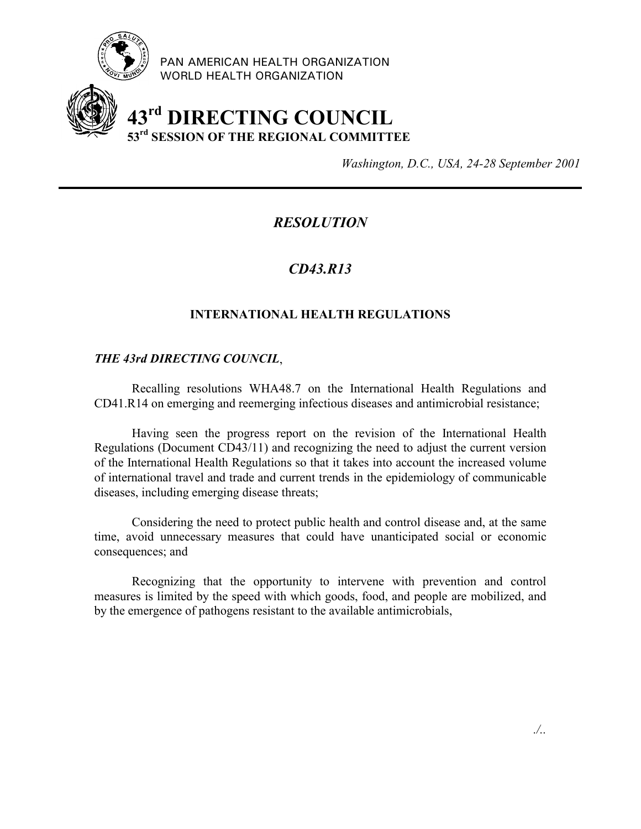

PAN AMERICAN HEALTH ORGANIZATION WORLD HEALTH ORGANIZATION

# **43rd DIRECTING COUNCIL 53rd SESSION OF THE REGIONAL COMMITTEE**

*Washington, D.C., USA, 24-28 September 2001*

# *RESOLUTION*

# *CD43.R13*

## **INTERNATIONAL HEALTH REGULATIONS**

### *THE 43rd DIRECTING COUNCIL*,

Recalling resolutions WHA48.7 on the International Health Regulations and CD41.R14 on emerging and reemerging infectious diseases and antimicrobial resistance;

Having seen the progress report on the revision of the International Health Regulations (Document CD43/11) and recognizing the need to adjust the current version of the International Health Regulations so that it takes into account the increased volume of international travel and trade and current trends in the epidemiology of communicable diseases, including emerging disease threats;

Considering the need to protect public health and control disease and, at the same time, avoid unnecessary measures that could have unanticipated social or economic consequences; and

Recognizing that the opportunity to intervene with prevention and control measures is limited by the speed with which goods, food, and people are mobilized, and by the emergence of pathogens resistant to the available antimicrobials,